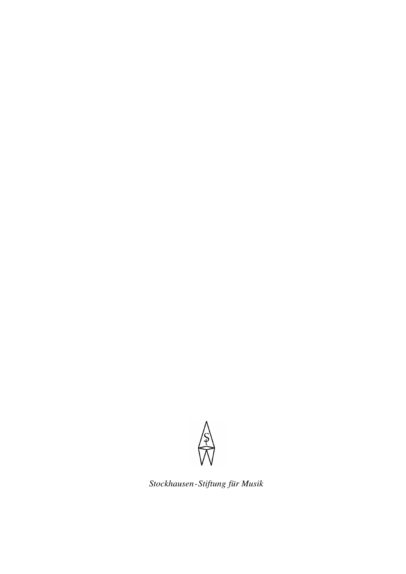

*Stockhausen-Stiftung für Musik*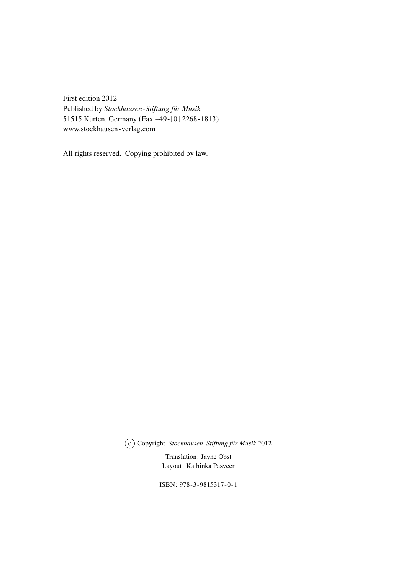First edition 2012 Published by *Stockhausen-Stiftung für Musik* 51515 Kürten, Germany (Fax +49-[0] 2268-1813) www.stockhausen-verlag.com

All rights reserved. Copying prohibited by law.

O c Copyright *Stockhausen-Stiftung für Musik* 2012

Translation: Jayne Obst Layout: Kathinka Pasveer

ISBN: 978-3-9815317-0-1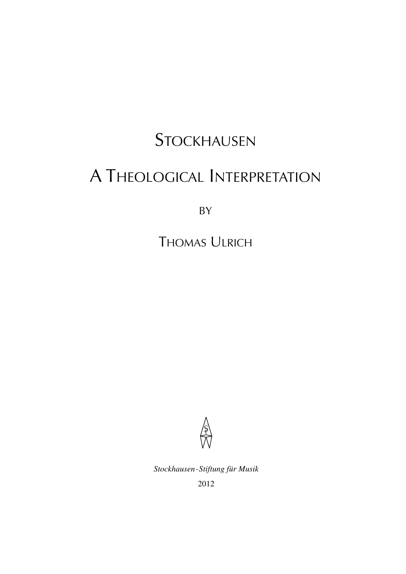## **STOCKHAUSEN**

# A THEOLOGICAL INTERPRETATION

BY

THOMAS ULRICH



*Stockhausen-Stiftung für Musik*

2012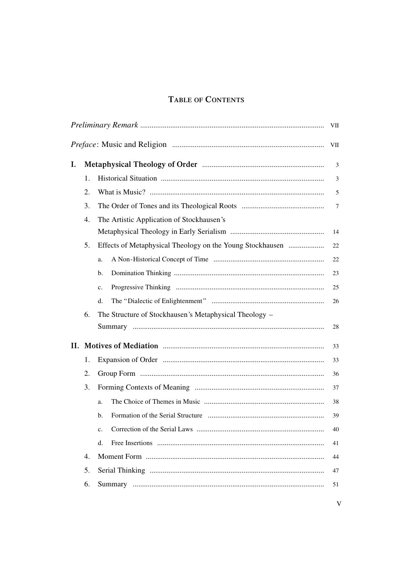### TABLE OF CONTENTS

|    |    |                                                           | VII    |
|----|----|-----------------------------------------------------------|--------|
|    |    |                                                           | VII    |
| I. |    |                                                           | 3      |
|    | 1. |                                                           | 3      |
|    | 2. |                                                           | 5      |
|    | 3. |                                                           | 7      |
|    | 4. | The Artistic Application of Stockhausen's                 |        |
|    |    |                                                           | 14     |
|    | 5. | Effects of Metaphysical Theology on the Young Stockhausen | $22\,$ |
|    |    | a.                                                        | 22     |
|    |    | b.                                                        | 23     |
|    |    | c.                                                        | 25     |
|    |    | d.                                                        | 26     |
|    | 6. | The Structure of Stockhausen's Metaphysical Theology –    |        |
|    |    |                                                           | 28     |
| П. |    |                                                           | 33     |
|    | 1. |                                                           | 33     |
|    | 2. |                                                           | 36     |
|    | 3. |                                                           | 37     |
|    |    | a.                                                        | 38     |
|    |    | b.                                                        | 39     |
|    |    | c.                                                        | 40     |
|    |    | d.                                                        | 41     |
|    | 4. |                                                           | 44     |
|    | 5. |                                                           | 47     |
|    | 6. |                                                           | 51     |
|    |    |                                                           |        |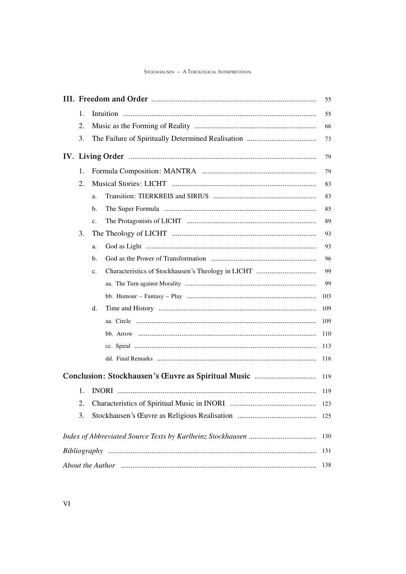#### STOCKHAUSEN - A THEOLOGICAL INTERPRETATION

|                                                                                                             |    |    | 55  |  |  |
|-------------------------------------------------------------------------------------------------------------|----|----|-----|--|--|
|                                                                                                             | 1. |    | 55  |  |  |
|                                                                                                             | 2. |    | 66  |  |  |
|                                                                                                             | 3. |    | 73  |  |  |
|                                                                                                             |    |    | 79  |  |  |
|                                                                                                             | 1. |    | 79  |  |  |
|                                                                                                             | 2. |    | 83  |  |  |
|                                                                                                             |    | a. | 83  |  |  |
|                                                                                                             |    | b. | 85  |  |  |
|                                                                                                             |    | c. | 89  |  |  |
|                                                                                                             | 3. |    | 93  |  |  |
|                                                                                                             |    | a. | 93  |  |  |
|                                                                                                             |    | b. | 96  |  |  |
|                                                                                                             |    | c. | 99  |  |  |
|                                                                                                             |    |    | 99  |  |  |
|                                                                                                             |    |    | 103 |  |  |
|                                                                                                             |    | d. | 109 |  |  |
|                                                                                                             |    |    | 109 |  |  |
|                                                                                                             |    |    | 110 |  |  |
|                                                                                                             |    |    | 113 |  |  |
|                                                                                                             |    |    | 116 |  |  |
|                                                                                                             |    |    | 119 |  |  |
|                                                                                                             | 1. |    | 119 |  |  |
|                                                                                                             | 2. |    | 123 |  |  |
|                                                                                                             | 3. |    | 125 |  |  |
|                                                                                                             |    |    | 130 |  |  |
| 131                                                                                                         |    |    |     |  |  |
| About the Author manufactured and the Author manufactured and the Author manufactured and the Author<br>138 |    |    |     |  |  |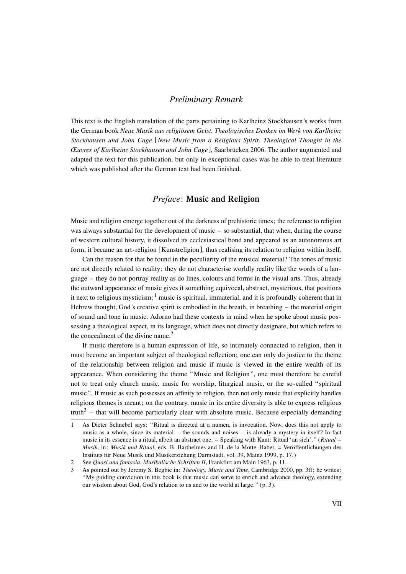#### *Preliminary Remark*

This text is the English translation of the parts pertaining to Karlheinz Stockhausen's works from the German book *Neue Musik aus religiösem Geist. Theologisches Denken im Werk von Karlheinz Stockhausen und John Cage* [*New Music from a Religious Spirit. Theological Thought in the Œuvres of Karlheinz Stockhausen and John Cage*], Saarbrücken 2006. The author augmented and adapted the text for this publication, but only in exceptional cases was he able to treat literature which was published after the German text had been finished.

### *Preface*: **Music and Religion**

Music and religion emerge together out of the darkness of prehistoric times; the reference to religion was always substantial for the development of music – so substantial, that when, during the course of western cultural history, it dissolved its ecclesiastical bond and appeared as an autonomous art form, it became an art-religion [Kunstreligion], thus realising its relation to religion within itself.

Can the reason for that be found in the peculiarity of the musical material? The tones of music are not directly related to reality; they do not characterise worldly reality like the words of a language – they do not portray reality as do lines, colours and forms in the visual arts. Thus, already the outward appearance of music gives it something equivocal, abstract, mysterious, that positions it next to religious mysticism;<sup>1</sup> music is spiritual, immaterial, and it is profoundly coherent that in Hebrew thought, God's creative spirit is embodied in the breath, in breathing – the material origin of sound and tone in music. Adorno had these contexts in mind when he spoke about music possessing a theological aspect, in its language, which does not directly designate, but which refers to the concealment of the divine name.<sup>2</sup>

If music therefore is a human expression of life, so intimately connected to religion, then it must become an important subject of theological reflection; one can only do justice to the theme of the relationship between religion and music if music is viewed in the entire wealth of its appearance. When considering the theme "Music and Religion", one must therefore be careful not to treat only church music, music for worship, liturgical music, or the so-called "spiritual music". If music as such possesses an affinity to religion, then not only music that explicitly handles religious themes is meant; on the contrary, music in its entire diversity is able to express religious truth<sup>3</sup> – that will become particularly clear with absolute music. Because especially demanding

<sup>1</sup> As Dieter Schnebel says: "Ritual is directed at a numen, is invocation. Now, does this not apply to music as a whole, since its material – the sounds and noises – is already a mystery in itself? In fact music in its essence is a ritual, albeit an abstract one. – Speaking with Kant: Ritual 'an sich'." (*Ritual – Musik*, in: *Musik und Ritual*, eds. B. Barthelmes and H. de la Motte-Haber, = Veröffentlichungen des Instituts für Neue Musik und Musikerziehung Darmstadt, vol. 39, Mainz 1999, p. 17.)

<sup>2</sup> See *Quasi una fantasia. Musikalische Schriften II*, Frankfurt am Main 1963, p. 11.

<sup>3</sup> As pointed out by Jeremy S. Begbie in: *Theology, Music and Time*, Cambridge 2000, pp. 3ff; he writes: "My guiding conviction in this book is that music can serve to enrich and advance theology, extending our wisdom about God, God's relation to us and to the world at large." (p. 3).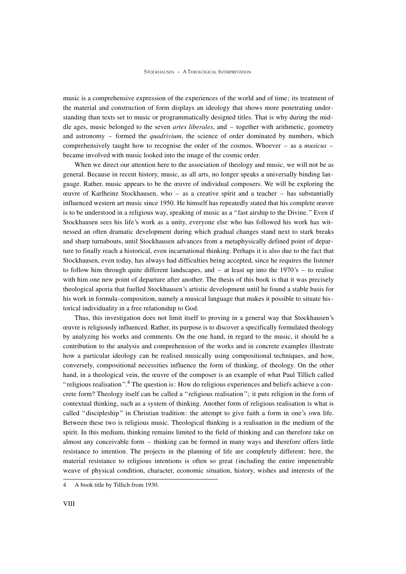music is a comprehensive expression of the experiences of the world and of time; its treatment of the material and construction of form displays an ideology that shows more penetrating understanding than texts set to music or programmatically designed titles. That is why during the middle ages, music belonged to the seven *artes liberales*, and – together with arithmetic, geometry and astronomy – formed the *quadrivium*, the science of order dominated by numbers, which comprehensively taught how to recognise the order of the cosmos. Whoever – as a *musicus* – became involved with music looked into the image of the cosmic order.

When we direct our attention here to the association of theology and music, we will not be as general. Because in recent history, music, as all arts, no longer speaks a universally binding language. Rather, music appears to be the œuvre of individual composers. We will be exploring the œuvre of Karlheinz Stockhausen, who – as a creative spirit and a teacher – has substantially influenced western art music since 1950. He himself has repeatedly stated that his complete œuvre is to be understood in a religious way, speaking of music as a "fast airship to the Divine." Even if Stockhausen sees his life's work as a unity, everyone else who has followed his work has witnessed an often dramatic development during which gradual changes stand next to stark breaks and sharp turnabouts, until Stockhausen advances from a metaphysically defined point of departure to finally reach a historical, even incarnational thinking. Perhaps it is also due to the fact that Stockhausen, even today, has always had difficulties being accepted, since he requires the listener to follow him through quite different landscapes, and  $-$  at least up into the 1970's  $-$  to realise with him one new point of departure after another. The thesis of this book is that it was precisely theological aporia that fuelled Stockhausen's artistic development until he found a stable basis for his work in formula-composition, namely a musical language that makes it possible to situate historical individuality in a free relationship to God.

Thus, this investigation does not limit itself to proving in a general way that Stockhausen's œuvre is religiously influenced. Rather, its purpose is to discover a specifically formulated theology by analyzing his works and comments. On the one hand, in regard to the music, it should be a contribution to the analysis and comprehension of the works and in concrete examples illustrate how a particular ideology can be realised musically using compositional techniques, and how, conversely, compositional necessities influence the form of thinking, of theology. On the other hand, in a theological vein, the œuvre of the composer is an example of what Paul Tillich called "religious realisation".<sup>4</sup> The question is: How do religious experiences and beliefs achieve a concrete form? Theology itself can be called a "religious realisation"; it puts religion in the form of contextual thinking, such as a system of thinking. Another form of religious realisation is what is called "discipleship" in Christian tradition: the attempt to give faith a form in one's own life. Between these two is religious music. Theological thinking is a realisation in the medium of the spirit. In this medium, thinking remains limited to the field of thinking and can therefore take on almost any conceivable form – thinking can be formed in many ways and therefore offers little resistance to intention. The projects in the planning of life are completely different; here, the material resistance to religious intentions is often so great (including the entire impenetrable weave of physical condition, character, economic situation, history, wishes and interests of the

<sup>4</sup> A book title by Tillich from 1930.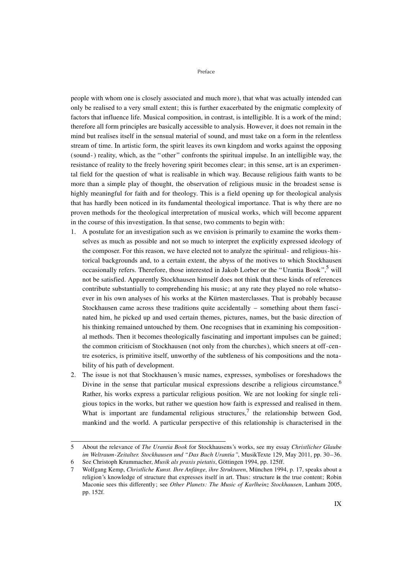#### Preface

people with whom one is closely associated and much more), that what was actually intended can only be realised to a very small extent; this is further exacerbated by the enigmatic complexity of factors that influence life. Musical composition, in contrast, is intelligible. It is a work of the mind; therefore all form principles are basically accessible to analysis. However, it does not remain in the mind but realises itself in the sensual material of sound, and must take on a form in the relentless stream of time. In artistic form, the spirit leaves its own kingdom and works against the opposing (sound-) reality, which, as the "other" confronts the spiritual impulse. In an intelligible way, the resistance of reality to the freely hovering spirit becomes clear; in this sense, art is an experimental field for the question of what is realisable in which way. Because religious faith wants to be more than a simple play of thought, the observation of religious music in the broadest sense is highly meaningful for faith and for theology. This is a field opening up for theological analysis that has hardly been noticed in its fundamental theological importance. That is why there are no proven methods for the theological interpretation of musical works, which will become apparent in the course of this investigation. In that sense, two comments to begin with:

- 1. A postulate for an investigation such as we envision is primarily to examine the works themselves as much as possible and not so much to interpret the explicitly expressed ideology of the composer. For this reason, we have elected not to analyze the spiritual- and religious-historical backgrounds and, to a certain extent, the abyss of the motives to which Stockhausen occasionally refers. Therefore, those interested in Jakob Lorber or the "Urantia Book".<sup>5</sup> will not be satisfied. Apparently Stockhausen himself does not think that these kinds of references contribute substantially to comprehending his music; at any rate they played no role whatsoever in his own analyses of his works at the Kürten masterclasses. That is probably because Stockhausen came across these traditions quite accidentally – something about them fascinated him, he picked up and used certain themes, pictures, names, but the basic direction of his thinking remained untouched by them. One recognises that in examining his compositional methods. Then it becomes theologically fascinating and important impulses can be gained; the common criticism of Stockhausen (not only from the churches), which sneers at off-centre esoterics, is primitive itself, unworthy of the subtleness of his compositions and the notability of his path of development.
- 2. The issue is not that Stockhausen's music names, expresses, symbolises or foreshadows the Divine in the sense that particular musical expressions describe a religious circumstance.<sup>6</sup> Rather, his works express a particular religious position. We are not looking for single religious topics in the works, but rather we question how faith is expressed and realised in them. What is important are fundamental religious structures,<sup>7</sup> the relationship between God, mankind and the world. A particular perspective of this relationship is characterised in the

<sup>5</sup> About the relevance of *The Urantia Book* for Stockhausens's works, see my essay *Christlicher Glaube im Weltraum-Zeitalter. Stockhausen und "Das Buch Urantia"*, MusikTexte 129, May 2011, pp. 30–36. 6 See Christoph Krummacher, *Musik als praxis pietatis*, Göttingen 1994, pp. 125ff.

<sup>7</sup> Wolfgang Kemp, *Christliche Kunst. Ihre Anfänge, ihre Strukturen*, München 1994, p. 17, speaks about a religion's knowledge of structure that expresses itself in art. Thus: structure **is** the true content; Robin Maconie sees this differently; see *Other Planets: The Music of Karlheinz Stockhausen*, Lanham 2005, pp. 152f.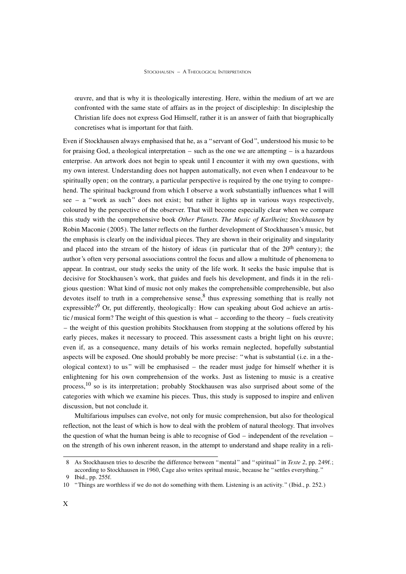œuvre, and that is why it is theologically interesting. Here, within the medium of art we are confronted with the same state of affairs as in the project of discipleship: In discipleship the Christian life does not express God Himself, rather it is an answer of faith that biographically concretises what is important for that faith.

Even if Stockhausen always emphasised that he, as a "servant of God", understood his music to be for praising God, a theological interpretation – such as the one we are attempting – is a hazardous enterprise. An artwork does not begin to speak until I encounter it with my own questions, with my own interest. Understanding does not happen automatically, not even when I endeavour to be spiritually open; on the contrary, a particular perspective is required by the one trying to comprehend. The spiritual background from which I observe a work substantially influences what I will see – a "work as such" does not exist; but rather it lights up in various ways respectively, coloured by the perspective of the observer. That will become especially clear when we compare this study with the comprehensive book *Other Planets. The Music of Karlheinz Stockhausen* by Robin Maconie (2005). The latter reflects on the further development of Stockhausen's music, but the emphasis is clearly on the individual pieces. They are shown in their originality and singularity and placed into the stream of the history of ideas (in particular that of the  $20<sup>th</sup>$  century); the author's often very personal associations control the focus and allow a multitude of phenomena to appear. In contrast, our study seeks the unity of the life work. It seeks the basic impulse that is decisive for Stockhausen's work, that guides and fuels his development, and finds it in the religious question: What kind of music not only makes the comprehensible comprehensible, but also devotes itself to truth in a comprehensive sense,  $\frac{8}{3}$  thus expressing something that is really not expressible?<sup>9</sup> Or, put differently, theologically: How can speaking about God achieve an artistic /musical form? The weight of this question is what – according to the theory – fuels creativity – the weight of this question prohibits Stockhausen from stopping at the solutions offered by his early pieces, makes it necessary to proceed. This assessment casts a bright light on his œuvre; even if, as a consequence, many details of his works remain neglected, hopefully substantial aspects will be exposed. One should probably be more precise: "what is substantial (i.e. in a theological context) to us" will be emphasised – the reader must judge for himself whether it is enlightening for his own comprehension of the works. Just as listening to music is a creative process,<sup>10</sup> so is its interpretation; probably Stockhausen was also surprised about some of the categories with which we examine his pieces. Thus, this study is supposed to inspire and enliven discussion, but not conclude it.

Multifarious impulses can evolve, not only for music comprehension, but also for theological reflection, not the least of which is how to deal with the problem of natural theology. That involves the question of what the human being is able to recognise of God – independent of the revelation – on the strength of his own inherent reason, in the attempt to understand and shape reality in a reli-

9 Ibid., pp. 255f.

<sup>8</sup> As Stockhausen tries to describe the difference between "mental" and "spiritual" in *Texte 2*, pp. 249f.; according to Stockhausen in 1960, Cage also writes spritual music, because he "settles everything."

<sup>10</sup> "Things are worthless if we do not do something with them. Listening is an activity." (Ibid., p. 252.)